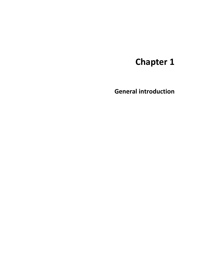# **Chapter 1**

**General introduction**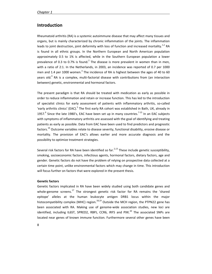## **Introduction**

Rheumatoid arthritis (RA) is a systemic autoimmune disease that may affect many tissues and organs, but is mainly characterized by chronic inflammation of the joints. The inflammation leads to joint destruction, joint deformity with loss of function and increased mortality.<sup>1,2</sup> RA is found in all ethnic groups. In the Northern European and North American population approximately 0.5 to 1% is affected, while in the Southern European population a lower prevalence of 0.3 to 0.7% is found. $^2$  The disease is more prevalent in women than in men, with a ratio of 2:1. In the Netherlands, in 2003, an incidence was reported of 0.7 per 1000 men and 1.4 per 1000 women. $3$  The incidence of RA is highest between the ages of 40 to 60 years old.<sup>4</sup> RA is a complex, multi-factorial disease with contributions from (an interaction between) genetic, environmental and hormonal factors.

The present paradigm is that RA should be treated with medication as early as possible in order to reduce inflammation and retain or increase function. This has led to the introduction of specialist clinics for early assessment of patients with inflammatory arthritis, so-called 'early arthritis clinics' (EAC).<sup>5</sup> The first early RA cohort was established in Bath, UK, already in 1957. $<sup>6</sup>$  Since the late 1980's, EAC have been set up in many countries.<sup>7-15</sup> In an EAC subjects</sup> with symptoms of inflammatory arthritis are assessed with the goal of identifying and treating patients as early as possible. Data from EAC have been used to find predictors and prognostic factors.<sup>16</sup> Outcome variables relate to disease severity, functional disability, erosive disease or mortality. The provision of EAC's allows earlier and more accurate diagnosis and the possibility to optimize treatment strategies.

Several risk factors for RA have been identified so far.<sup>2,13</sup> These include genetic susceptibility, smoking, socioeconomic factors, infectious agents, hormonal factors, dietary factors, age and gender. Genetic factors do not have the problem of relying on prospective data collected at a certain time point, unlike environmental factors which may change in time. This introduction will focus further on factors that were explored in the present thesis.

## **Genetic factors**

Genetic factors implicated in RA have been widely studied using both candidate genes and whole-genome screens.<sup>17</sup> The strongest genetic risk factor for RA remains the 'shared epitope' alleles at the human leukocyte antigen DRB1 locus within the major histocompatibility complex (MHC) region. $^{18,19}$  Outside the MCH region, the PTPN22 gene has been associated with RA. Making use of genome-wide association studies, new loci are identified, including IL6ST, SPRED2, RBPJ, CCR6, IRF5 and PXK. $^{20}$  The associated SNPs are located near genes of known immune function. Furthermore several other genes have been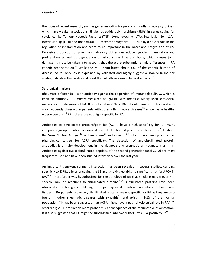the focus of recent research, such as genes encoding for pro- or anti-inflammatory cytokines, which have weaker associations. Single nucleotide polymorphisms (SNPs) in genes coding for cytokines like Tumour Necrosis Factor-α (TNF), Lymphotoxin-α (LTA), Interleukin-1α (IL1A), Interleukin-1β (IL1B) and the natural IL-1 receptor antagonist (IL1RN) play a crucial role in the regulation of inflammation and seem to be important in the onset and progression of RA. Excessive production of pro-inflammatory cytokines can induce synovial inflammation and proliferation as well as degradation of articular cartilage and bone, which causes joint damage. It must be taken into account that there are substantial ethnic differences in RA genetic predisposition. $^{21}$  While the MHC contributes about 30% of the genetic burden of disease, so far only 5% is explained by validated and highly suggestive non-MHC RA risk alleles, indicating that additional non-MHC risk alleles remain to be discovered.<sup>17,22</sup>

#### **Serological markers**

Rheumatoid factor (RF) is an antibody against the Fc portion of immunoglobulin G, which is itself an antibody. RF, mostly measured as IgM-RF, was the first widely used serological marker for the diagnosis of RA. It was found in 75% of RA patients; however later on it was also frequently observed in patients with other inflammatory diseases<sup>23</sup> as well as in healthy elderly persons.<sup>24</sup> RF is therefore not highly specific for RA.

Antibodies to citrullinated proteins/peptides (ACPA) have a high specificity for RA. ACPA comprise a group of antibodies against several citrullinated proteins, such as fibrin<sup>25</sup>, Epstein-Bar Virus Nuclear Antigen<sup>26</sup>, alpha-enolase<sup>27</sup> and vimentin<sup>28</sup>, which have been proposed as physiological targets for ACPA specificity. The detection of anti-citrullinated protein antibodies is a major development in the diagnosis and prognosis of rheumatoid arthritis. Antibodies against cyclic citrullinated peptides of the second generation (anti-CCP2) are most frequently used and have been studied intensively over the last years.

An important gene–environment interaction has been revealed in several studies; carrying specific HLA-DRB1 alleles encoding the SE and smoking establish a significant risk for APCA in RA.<sup>29,30</sup> Therefore it was hypothesized for the aetiology of RA that smoking may trigger RAspecific immune reactions to citrullinated proteins.<sup>31,32</sup> Citrullinated proteins have been observed in the lining and sublining of the joint synovial membrane and also in extraarticular tissues in RA patients. However, citrullinated proteins are not specific for RA as they are also found in other rheumatic diseases with synovitis $33$  and exist in 1-2% of the normal population.<sup>34</sup> It has been suggested that ACPA might have a path physiological role in RA<sup>35,36</sup>, whereas IgM-RF production more probably is a consequence of the rheumatoid inflammation. It is also suggested that RA might be subclassified into two subsets by ACPA-positivity.<sup>29,31</sup>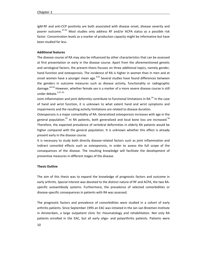IgM-RF and anti-CCP positivity are both associated with disease onset, disease severity and poorer outcome.<sup>37-42</sup> Most studies only address RF and/or ACPA status as a possible risk factor. Concentration levels as a marker of production capacity might be informative but have been studied far less.

### **Additional features**

The disease course of RA may also be influenced by other characteristics that can be assessed at first presentation or early in the disease course. Apart from the aforementioned genetic and serological factors, the present thesis focuses on three additional topics, namely gender, hand function and osteoporosis. The incidence of RA is higher in women than in men and at onset women have a younger mean age.<sup>4,43</sup> Several studies have found differences between the genders in outcome measures such as disease activity, functionality or radiographic damage.44-50 However, whether female sex is a marker of a more severe disease course is still under debate.<sup>5,51-53</sup>

Joint inflammation and joint deformity contribute to functional limitations in RA.<sup>54</sup> In the case of hand and wrist function, it is unknown to what extent hand and wrist symptoms and impairments and the resulting activity limitations are related to disease duration.

Osteoporosis is a major comorbidity of RA. Generalized osteoporosis increases with age in the general population. $55$  In RA patients, both generalized and local bone loss are increased. $56$ Therefore, the expected prevalence of vertebral deformities in elderly RA patients would be higher compared with the general population. It is unknown whether this effect is already present early in the disease course.

It is necessary to study both directly disease-related factors such as joint inflammation and indirect comorbid effects such as osteoporosis, in order to assess the full scope of the consequences of the disease. The resulting knowledge will facilitate the development of preventive measures in different stages of the disease.

#### **Thesis Outline**

The aim of this thesis was to expand the knowledge of prognostic factors and outcome in early arthritis. Special interest was devoted to the distinct nature of RF and ACPA, the two RAspecific autoantibody systems. Furthermore, the prevalence of selected comorbidities or disease-specific consequences in patients with RA was assessed.

The prognostic factors and prevalence of comorbidities were studied in a cohort of early arthritis patients. Since September 1995 an EAC was initiated in the Jan van Breemen Institute in Amsterdam, a large outpatient clinic for rheumatology and rehabilitation. Not only RA patients enrolled in the EAC, but all early oligo- and polyarthritis patients. Patients were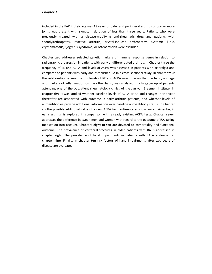#### *Chapter 1*

included in the EAC if their age was 18 years or older and peripheral arthritis of two or more joints was present with symptom duration of less than three years. Patients who were previously treated with a disease-modifying anti-rheumatic drug and patients with spondylarthropathy, reactive arthritis, crystal-induced arthropathy, systemic lupus erythematosus, Sjögren's syndrome, or osteoarthritis were excluded.

Chapter **two** addresses selected genetic markers of immune response genes in relation to radiographic progression in patients with early undifferentiated arthritis. In Chapter **three** the frequency of SE and ACPA and levels of ACPA was assessed in patients with arthralgia and compared to patients with early and established RA in a cross-sectional study. In chapter **four** the relationship between serum levels of RF and ACPA over time on the one hand, and age and markers of inflammation on the other hand, was analyzed in a large group of patients attending one of the outpatient rheumatology clinics of the Jan van Breemen Institute. In chapter **five** it was studied whether baseline levels of ACPA or RF and changes in the year thereafter are associated with outcome in early arthritis patients, and whether levels of autoantibodies provide additional information over baseline autoantibody status. In Chapter **six** the possible additional value of a new ACPA test, anti-mutated citrullinated vimentin, in early arthritis is explored in comparison with already existing ACPA tests. Chapter **seven** addresses the difference between men and women with regard to the outcome of RA, taking medication into account. Chapters **eight to ten** are devoted to comorbidity and functional outcome. The prevalence of vertebral fractures in older patients with RA is addressed in chapter **eight**. The prevalence of hand impairments in patients with RA is addressed in chapter **nine**. Finally, in chapter **ten** risk factors of hand impairments after two years of disease are evaluated.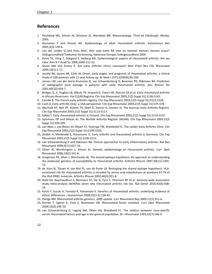# **References**

- 1. Hochberg MC, Silman AJ, Smolenn JS, Weinblatt ME. Rheumatology. Third ed Edinburgh: Mosby; 2003.
- 2. Alamanos Y and Drosos AA. Epidemiology of adult rheumatoid arthritis. Autoimmun Rev 2005;4[3]:130-6.
- 3. van der Linden SJ and Poos MJJC. Hoe vaak komt RA voor en hoeveel mensen sterven eraan? Volksgezondheid Toekomst Verkenning, Nationaal Kompas Volksgezondheid 2009.
- 4. Kvien TK, Uhlig T, Odegard S, Heiberg MS. Epidemiological aspects of rheumatoid arthritis: the sex ratio. Ann N Y Acad Sci 2006;1069:212-22.
- 5. Quinn MA and Emery P. Are early arthritis clinics necessary? Best Pract Res Clin Rheumatol 2005;19[1]:1-17.
- 6. Jacoby RK, Jayson MI, Cosh JA. Onset, early stages, and prognosis of rheumatoid arthritis: a clinical study of 100 patients with 11-year follow-up. Br Med J 1973;2[5858]:96-100.
- 7. Jansen LM, van der Horst-Bruinsma IE, van Schaardenburg D, Bezemer PD, Dijkmans BA. Predictors of radiographic joint damage in patients with early rheumatoid arthritis. Ann Rheum Dis 2001;60[10]:924-7.
- 8. Bridges SL Jr, Hughes LB, Mikuls TR, Howard G, Tiwari HK, Alarcon GS et al. Early rheumatoid arthritis in African-Americans: the CLEAR Registry. Clin Exp Rheumatol 2003;21[5 Suppl 31]:S138-S145.
- 9. Combe B. The French early arthritis registry. Clin Exp Rheumatol 2003;21[5 Suppl 31]:S123-S128.
- 10. Cush JJ. Early arthritis clinic: a USA perspective. Clin Exp Rheumatol 2003;21[5 Suppl 31]:S75-S78.
- 11. Machold KP, Nell VP, Stamm TA, Eberl G, Steiner G, Smolen JS. The Austrian Early Arthritis Registry. Clin Exp Rheumatol 2003;21[5 Suppl 31]:S113-S117.
- 12. Sokka T. Early rheumatoid arthritis in Finland. Clin Exp Rheumatol 2003;21[5 Suppl 31]:S133-S137.
- 13. Symmons DP and Silman AJ. The Norfolk Arthritis Register (NOAR). Clin Exp Rheumatol 2003;21[5 Suppl 31]:S94-S99.
- 14. van Aken J, van Bilsen JH, Allaart CF, Huizinga TW, Breedveld FC. The Leiden Early Arthritis Clinic. Clin Exp Rheumatol 2003;21[5 Suppl 31]:S100-S105.
- 15. Zeidler H, Merkesdal S, Hulsemann JL. Early arthritis and rheumatoid arthritis in Germany. Clin Exp Rheumatol 2003;21[5 Suppl 31]:S106-S112.
- 16. van Schaardenburg D and Dijkmans BA. Clinical approaches to early inflammatory arthritis. Nat Rev Rheumatol 2009;5[11]:627-33.
- 17. Oliver JE, Worthington J, Silman AJ. Genetic epidemiology of rheumatoid arthritis. Curr Opin Rheumatol 2006;18[2]:141-6.
- 18. Gregersen PK, Silver J, Winchester RJ. The shared epitope hypothesis. An approach to understanding the molecular genetics of susceptibility to rheumatoid arthritis. Arthritis Rheum 1987;30[11]:1205- 13.
- 19. de Vries N, Tijssen H, van Riel PL, van de Putte LB. Reshaping the shared epitope hypothesis: HLAassociated risk for rheumatoid arthritis is encoded by amino acid substitutions at positions 67-74 of the HLA-DRB1 molecule. Arthritis Rheum 2002;46[4]:921-8.
- 20. Stahl EA, Raychaudhuri S, Remmers EF, Xie G, Eyre S, Thomson BP et al. Genome-wide association study meta-analysis identifies seven new rheumatoid arthritis risk loci. Nat Genet 2010;42[6]:508- 14.
- 21. Kochi Y, Suzuki A, Yamada R, Yamamoto K. Genetics of rheumatoid arthritis: underlying evidence of ethnic differences. J Autoimmun 2009;32[3-4]:158-62.
- 22. Plenge RM. Rheumatoid arthritis genetics: 2009 update. Curr Rheumatol Rep 2009;11[5]:351-6.
- 23. Dorner T, Egerer K, Feist E, Burmester GR. Rheumatoid factor revisited. Curr Opin Rheumatol 2004;16[3]:246-53.
- 24. van Schaardenburg D, Lagaay AM, Otten HG, Breedveld FC. The relation between class-specific serum rheumatoid factors and age in the general population. Br J Rheumatol 1993;32[7]:546-9.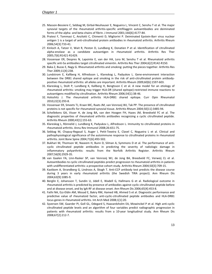- 25. Masson-Bessiere C, Sebbag M, Girbal-Neuhauser E, Nogueira L, Vincent C, Senshu T et al. The major synovial targets of the rheumatoid arthritis-specific antifilaggrin autoantibodies are deiminated forms of the alpha- and beta-chains of fibrin. J Immunol 2001;166[6]:4177-84.
- 26. Pratesi F, Tommasi C, Anzilotti C, Chimenti D, Migliorini P. Deiminated Epstein-Barr virus nuclear antigen 1 is a target of anti-citrullinated protein antibodies in rheumatoid arthritis. Arthritis Rheum 2006;54[3]:733-41.
- 27. Kinloch A, Tatzer V, Wait R, Peston D, Lundberg K, Donatien P et al. Identification of citrullinated alpha-enolase as a candidate autoantigen in rheumatoid arthritis. Arthritis Res Ther 2005;7[6]:R1421-R1429.
- 28. Vossenaar ER, Despres N, Lapointe E, van der HA, Lora M, Senshu T et al. Rheumatoid arthritis specific anti-Sa antibodies target citrullinated vimentin. Arthritis Res Ther 2004;6[2]:R142-R150.
- 29. Baka Z, Buzas E, Nagy G. Rheumatoid arthritis and smoking: putting the pieces together. Arthritis Res Ther 2009;11[4]:238.
- 30. Lundstrom E, Kallberg H, Alfredsson L, Klareskog L, Padyukov L. Gene-environment interaction between the DRB1 shared epitope and smoking in the risk of anti-citrullinated protein antibodypositive rheumatoid arthritis: all alleles are important. Arthritis Rheum 2009;60[6]:1597-603.
- 31. Klareskog L, Stolt P, Lundberg K, Kallberg H, Bengtsson C et al. A new model for an etiology of rheumatoid arthritis: smoking may trigger HLA-DR (shared epitope)-restricted immune reactions to autoantigens modified by citrullination. Arthritis Rheum 2006;54[1]:38-46.
- 32. Holoshitz J. The rheumatoid arthritis HLA-DRB1 shared epitope. Curr Opin Rheumatol 2010;22[3]:293-8.
- 33. Vossenaar ER, Smeets TJ, Kraan MC, Raats JM, van Venrooij WJ, Tak PP. The presence of citrullinated proteins is not specific for rheumatoid synovial tissue. Arthritis Rheum 2004;50[11]:3485-94.
- 34. Schellekens GA, Visser H, de Jong BA, van den Hoogen FH, Hazes JM, Breedveld FC et al. The diagnostic properties of rheumatoid arthritis antibodies recognizing a cyclic citrullinated peptide. Arthritis Rheum 2000;43[1]:155-63.
- 35. Klareskog L, Rönnelid J, Lundberg K, Padyukov L, Alfredsson L. Immunity to citrullinated proteins in rheumatoid arthritis. Annu Rev Immunol 2008;26:651-75.
- 36. Sebbag M, Chapuy-Regaud S, Auger I, Petit-Texeira E, Clavel C, Nogueira L et al. Clinical and pathophysiological significance of the autoimmune response to citrullinated proteins in rheumatoid arthritis. Joint Bone Spine 2004;71[6]:493-502.
- 37. Bukhari M, Thomson W, Naseem H, Bunn D, Silman A, Symmons D et al. The performance of anticyclic citrullinated peptide antibodies in predicting the severity of radiologic damage in inflammatory polyarthritis: results from the Norfolk Arthritis Register. Arthritis Rheum 2007;56[9]:2929-35.
- 38. van Gaalen FA, Linn-Rasker SP, van Venrooij WJ, de Jong BA, Breedveld FC, Verweij CL et al. Autoantibodies to cyclic citrullinated peptides predict progression to rheumatoid arthritis in patients with undifferentiated arthritis: a prospective cohort study. Arthritis Rheum 2004;50[3]:709-15.
- 39. Kastbom A, Strandberg G, Lindroos A, Skogh T. Anti-CCP antibody test predicts the disease course during 3 years in early rheumatoid arthritis (the Swedish TIRA project). Ann Rheum Dis 2004;63[9]:1085-9.
- 40. Berglin E, Johansson T, Sundin U, Jidell E, Wadell G, Hallmans G et al. Radiological outcome in rheumatoid arthritis is predicted by presence of antibodies against cyclic citrullinated peptide before and at disease onset, and by IgA-RF at disease onset. Ann Rheum Dis 2006;65[4]:453-8.
- 41. Fathi NA, Ezz-Eldin AM, Mosad E, Bakry RM, Hamed HB, Ahmed S et al. Diagnostic performance and predictive value of rheumatoid factor, anti-cyclic-citrullinated peptide antibodies and HLA-DRB1 locus genes in rheumatoid arthritis. Int Arch Med 2008;1[1]:20.
- 42. Syversen SW, Gaarder PI, Goll GL, Odegard S, Haavardsholm EA, Mowinckel P et al. High anti-cyclic citrullinated peptide levels and an algorithm of four variables predict radiographic progression in patients with rheumatoid arthritis: results from a 10-year longitudinal study. Ann Rheum Dis 2008;67[2]:212-7.